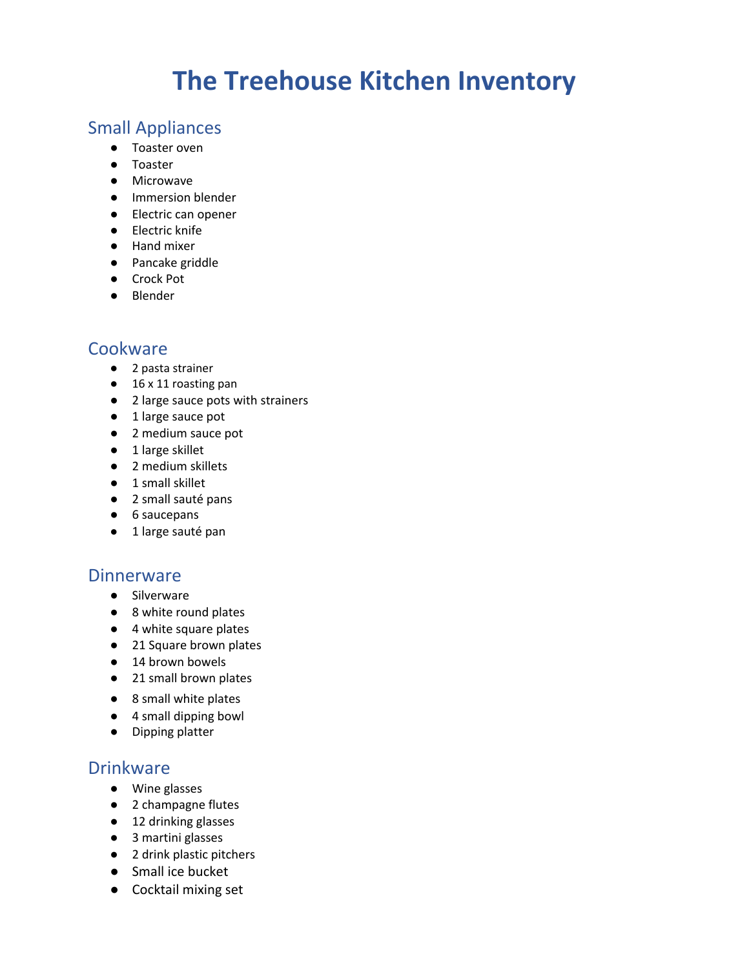# **The Treehouse Kitchen Inventory**

### Small Appliances

- Toaster oven
- Toaster
- Microwave
- Immersion blender
- Electric can opener
- Electric knife
- Hand mixer
- Pancake griddle
- Crock Pot
- Blender

## **Cookware**

- 2 pasta strainer
- 16 x 11 roasting pan
- 2 large sauce pots with strainers
- 1 large sauce pot
- 2 medium sauce pot
- 1 large skillet
- 2 medium skillets
- 1 small skillet
- 2 small sauté pans
- 6 saucepans
- 1 large sauté pan

#### **Dinnerware**

- Silverware
- 8 white round plates
- 4 white square plates
- 21 Square brown plates
- 14 brown bowels
- 21 small brown plates
- 8 small white plates
- 4 small dipping bowl
- Dipping platter

#### **Drinkware**

- Wine glasses
- 2 champagne flutes
- 12 drinking glasses
- 3 martini glasses
- 2 drink plastic pitchers
- Small ice bucket
- Cocktail mixing set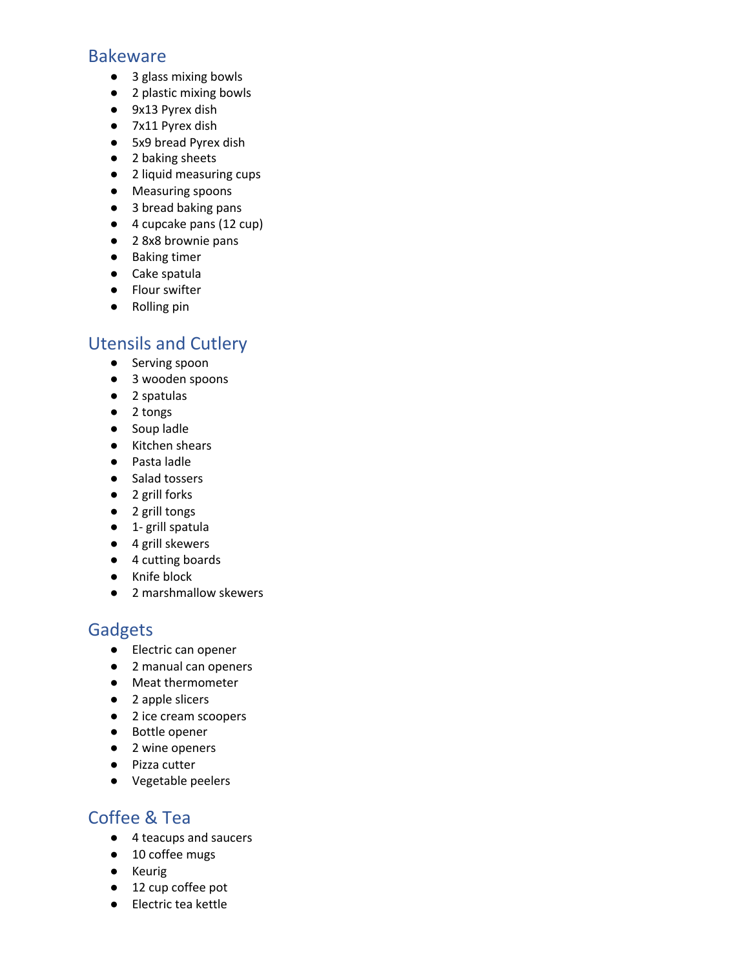#### Bakeware

- 3 glass mixing bowls
- 2 plastic mixing bowls
- 9x13 Pyrex dish
- 7x11 Pyrex dish
- 5x9 bread Pyrex dish
- 2 baking sheets
- 2 liquid measuring cups
- Measuring spoons
- 3 bread baking pans
- 4 cupcake pans (12 cup)
- 2 8x8 brownie pans
- Baking timer
- Cake spatula
- Flour swifter
- Rolling pin

# Utensils and Cutlery

- Serving spoon
- 3 wooden spoons
- 2 spatulas
- 2 tongs
- Soup ladle
- Kitchen shears
- Pasta ladle
- Salad tossers
- 2 grill forks
- 2 grill tongs
- 1- grill spatula
- 4 grill skewers
- 4 cutting boards
- Knife block
- 2 marshmallow skewers

# Gadgets

- Electric can opener
- 2 manual can openers
- Meat thermometer
- 2 apple slicers
- 2 ice cream scoopers
- Bottle opener
- 2 wine openers
- Pizza cutter
- Vegetable peelers

# Coffee & Tea

- 4 teacups and saucers
- 10 coffee mugs
- Keurig
- 12 cup coffee pot
- Electric tea kettle